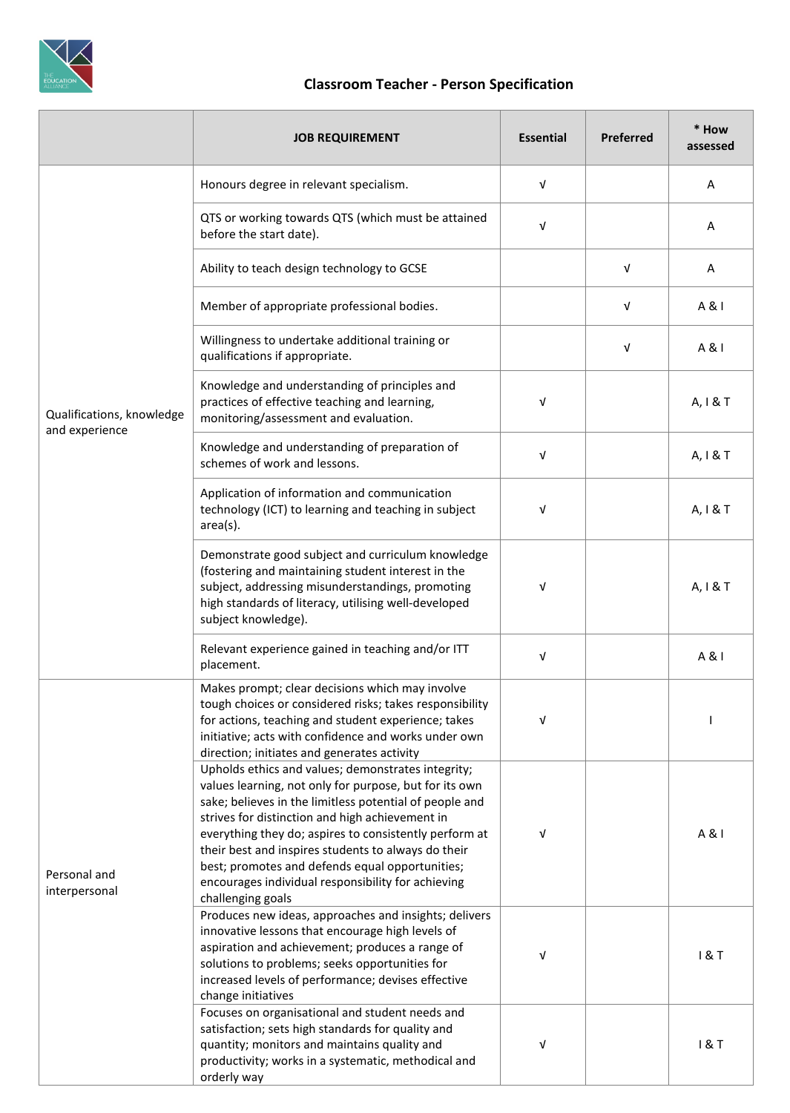

## **Classroom Teacher - Person Specification**

|                                             | <b>JOB REQUIREMENT</b>                                                                                                                                                                                                                                                                                                                                                                                                                                                    | <b>Essential</b> | <b>Preferred</b> | * How<br>assessed |
|---------------------------------------------|---------------------------------------------------------------------------------------------------------------------------------------------------------------------------------------------------------------------------------------------------------------------------------------------------------------------------------------------------------------------------------------------------------------------------------------------------------------------------|------------------|------------------|-------------------|
| Qualifications, knowledge<br>and experience | Honours degree in relevant specialism.                                                                                                                                                                                                                                                                                                                                                                                                                                    | $\sqrt{ }$       |                  | Α                 |
|                                             | QTS or working towards QTS (which must be attained<br>before the start date).                                                                                                                                                                                                                                                                                                                                                                                             | V                |                  | Α                 |
|                                             | Ability to teach design technology to GCSE                                                                                                                                                                                                                                                                                                                                                                                                                                |                  | V                | Α                 |
|                                             | Member of appropriate professional bodies.                                                                                                                                                                                                                                                                                                                                                                                                                                |                  | V                | A & I             |
|                                             | Willingness to undertake additional training or<br>qualifications if appropriate.                                                                                                                                                                                                                                                                                                                                                                                         |                  | V                | A & I             |
|                                             | Knowledge and understanding of principles and<br>practices of effective teaching and learning,<br>monitoring/assessment and evaluation.                                                                                                                                                                                                                                                                                                                                   | V                |                  | A, I & T          |
|                                             | Knowledge and understanding of preparation of<br>schemes of work and lessons.                                                                                                                                                                                                                                                                                                                                                                                             | $\sqrt{ }$       |                  | A, I & T          |
|                                             | Application of information and communication<br>technology (ICT) to learning and teaching in subject<br>area(s).                                                                                                                                                                                                                                                                                                                                                          | V                |                  | A, I & T          |
|                                             | Demonstrate good subject and curriculum knowledge<br>(fostering and maintaining student interest in the<br>subject, addressing misunderstandings, promoting<br>high standards of literacy, utilising well-developed<br>subject knowledge).                                                                                                                                                                                                                                | V                |                  | A, I & T          |
|                                             | Relevant experience gained in teaching and/or ITT<br>placement.                                                                                                                                                                                                                                                                                                                                                                                                           | $\sqrt{ }$       |                  | A & I             |
| Personal and<br>interpersonal               | Makes prompt; clear decisions which may involve<br>tough choices or considered risks; takes responsibility<br>for actions, teaching and student experience; takes<br>initiative; acts with confidence and works under own<br>direction; initiates and generates activity                                                                                                                                                                                                  | $\sqrt{ }$       |                  |                   |
|                                             | Upholds ethics and values; demonstrates integrity;<br>values learning, not only for purpose, but for its own<br>sake; believes in the limitless potential of people and<br>strives for distinction and high achievement in<br>everything they do; aspires to consistently perform at<br>their best and inspires students to always do their<br>best; promotes and defends equal opportunities;<br>encourages individual responsibility for achieving<br>challenging goals | V                |                  | A & I             |
|                                             | Produces new ideas, approaches and insights; delivers<br>innovative lessons that encourage high levels of<br>aspiration and achievement; produces a range of<br>solutions to problems; seeks opportunities for<br>increased levels of performance; devises effective<br>change initiatives                                                                                                                                                                                | V                |                  | 18T               |
|                                             | Focuses on organisational and student needs and<br>satisfaction; sets high standards for quality and<br>quantity; monitors and maintains quality and<br>productivity; works in a systematic, methodical and<br>orderly way                                                                                                                                                                                                                                                | V                |                  | 18T               |